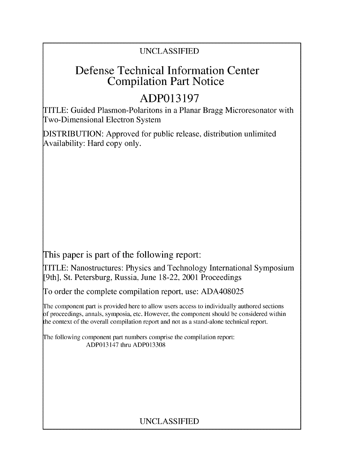## UNCLASSIFIED

## **Defense Technical Information Center Compilation Part Notice**

# **ADP013197**

TITLE: Guided Plasmon-Polaritons in a Planar Bragg Microresonator with Two-Dimensional Electron System

DISTRIBUTION: Approved for public release, distribution unlimited Availability: Hard copy only.

This paper is part of the following report:

TITLE: Nanostructures: Physics and Technology International Symposium [9th], St. Petersburg, Russia, June 18-22, 2001 Proceedings

To order the complete compilation report, use: ADA408025

The component part is provided here to allow users access to individually authored sections f proceedings, annals, symposia, etc. However, the component should be considered within the context of the overall compilation report and not as a stand-alone technical report.

The following component part numbers comprise the compilation report: ADP013147 thru ADP013308

## UNCLASSIFIED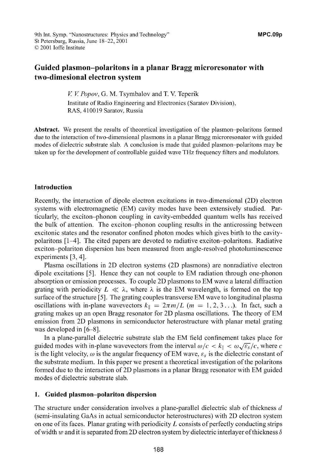### **Guided plasmon-polaritons in a planar Bragg microresonator with two-dimesional electron system**

*V V Popov,* G. M. Tsymbalov and T. V. Teperik Institute of Radio Engineering and Electronics (Saratov Division), RAS, 410019 Saratov, Russia

**Abstract.** We present the results of theoretical investigation of the plasmon-polaritons formed due to the interaction of two-dimensional plasmons in a planar Bragg microresonator with guided modes of dielectric substrate slab. A conclusion is made that guided plasmon-polaritons may be taken up for the development of controllable guided wave THz frequency filters and modulators.

#### **Introduction**

Recently, the interaction of dipole electron excitations in two-dimensional (2D) electron systems with electromagnetic (EM) cavity modes have been extensively studied. Particularly, the exciton-phonon coupling in cavity-embedded quantum wells has received the bulk of attention. The exciton-phonon coupling results in the anticrossing between excitonic states and the resonator confined photon modes which gives birth to the cavitypolaritons [1-4]. The cited papers are devoted to radiative exciton-polaritons. Radiative exciton-polariton dispersion has been measured from angle-resolved photoluminescence experiments [3, 4].

Plasma oscillations in 2D electron systems (2D plasmons) are nonradiative electron dipole excitations [5]. Hence they can not couple to EM radiation through one-phonon absorption or emission processes. To couple 2D plasmons to EM wave a lateral diffraction grating with periodicity  $L \ll \lambda$ , where  $\lambda$  is the EM wavelength, is formed on the top surface of the structure [5]. The grating couples transverse EM wave to longitudinal plasma oscillations with in-plane wavevectors  $k_{\parallel} = 2\pi m/L$  ( $m = 1, 2, 3...$ ). In fact, such a grating makes up an open Bragg resonator for 2D plasma oscillations. The theory of EM emission from 2D plasmons in semiconductor heterostructure with planar metal grating was developed in [6-8].

In a plane-parallel dielectric substrate slab the EM field confinement takes place for guided modes with in-plane wavevectors from the interval  $\omega/c < k_{\parallel} < \omega \sqrt{\varepsilon_s/c}$ , where *c* is the light velocity,  $\omega$  is the angular frequency of EM wave,  $\varepsilon_s$  is the dielectric constant of the substrate medium. In this paper we present a theoretical investigation of the polaritons formed due to the interaction of 2D plasmons in a planar Bragg resonator with EM guided modes of dielectric substrate slab.

#### **1. Guided plasmon-polariton dispersion**

The structure under consideration involves a plane-parallel dielectric slab of thickness *d* (semi-insulating GaAs in actual semiconductor heterostructures) with 2D electron system on one of its faces. Planar grating with periodicity *L* consists of perfectly conducting strips of width *w* and it is separated from 2D electron system by dielectric interlayer of thickness  $\delta$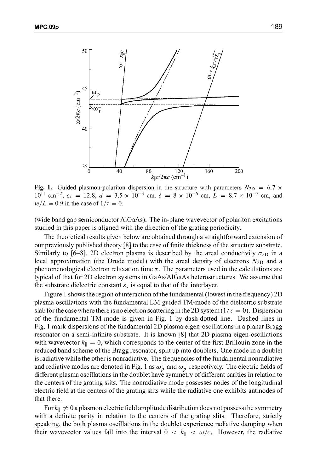

**Fig. 1.** Guided plasmon-polariton dispersion in the structure with parameters  $N_{2D} = 6.7 \times$  $10^{11}$  cm<sup>-2</sup>,  $\varepsilon_s = 12.8$ ,  $d = 3.5 \times 10^{-3}$  cm,  $\delta = 8 \times 10^{-6}$  cm,  $L = 8.7 \times 10^{-5}$  cm, and  $w/L = 0.9$  in the case of  $1/\tau = 0$ .

(wide band gap semiconductor AlGaAs). The in-plane wavevector of polariton excitations studied in this paper is aligned with the direction of the grating periodicity.

The theoretical results given below are obtained through a straightforward extension of our previously published theory **[8]** to the case of finite thickness of the structure substrate. Similarly to [6-8], 2D electron plasma is described by the areal conductivity  $\sigma_{2D}$  in a local approximation (the Drude model) with the areal density of electrons  $N_{2D}$  and a phenomenological electron relaxation time  $\tau$ . The parameters used in the calculations are typical of that for 2D electron systems in GaAs/AlGaAs heterostructures. We assume that the substrate dielectric constant  $\varepsilon_s$  is equal to that of the interlayer.

Figure 1 shows the region of interaction of the fundamental (lowest in the frequency) 2D plasma oscillations with the fundamental EM guided TM-mode of the dielectric substrate slab for the case where there is no electron scattering in the 2D system  $(1/\tau = 0)$ . Dispersion of the fundamental TM-mode is given in Fig. 1 by dash-dotted line. Dashed lines in Fig. 1 mark dispersions of the fundamental 2D plasma eigen-oscillations in a planar Bragg resonator on a semi-infinite substrate. It is known **[8]** that 2D plasma eigen-oscillations with wavevector  $k_{\parallel} = 0$ , which corresponds to the center of the first Brillouin zone in the reduced band scheme of the Bragg resonator, split up into doublets. One mode in a doublet is radiative while the other is nonradiative. The frequencies of the fundamental nonradiative and rediative modes are denoted in Fig. 1 as  $\omega_p^+$  and  $\omega_p^-$  respectively. The electric fields of different plasma oscillations in the doublet have symmetry of different parities in relation to the centers of the grating slits. The nonradiative mode possesses nodes of the longitudinal electric field at the centers of the grating slits while the radiative one exhibits antinodes of that there.

For  $k_{\parallel} \neq 0$  a plasmon electric field amplitude distribution does not possess the symmetry with a definite parity in relation to the centers of the grating slits. Therefore, strictly speaking, the both plasma oscillations in the doublet experience radiative damping when their wavevector values fall into the interval  $0 < k_{\parallel} < \omega/c$ . However, the radiative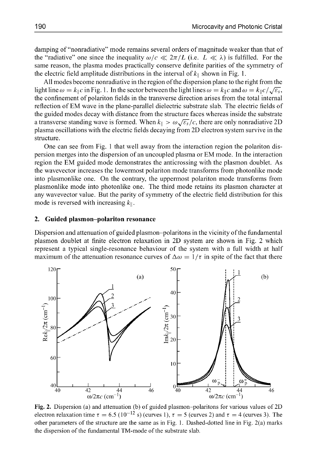damping of "nonradiative" mode remains several orders of magnitude weaker than that of the "radiative" one since the inequality  $\omega/c \ll 2\pi/L$  (i.e.  $L \ll \lambda$ ) is fulfilled. For the same reason, the plasma modes practically conserve definite parities of the symmetry of the electric field amplitude distributions in the interval of  $k_{\parallel}$  shown in Fig. 1.

All modes become nonradiative in the region of the dispersion plane to the right from the light line  $\omega = k_{\parallel} c$  in Fig. 1. In the sector between the light lines  $\omega = k_{\parallel} c$  and  $\omega = k_{\parallel} c / \sqrt{\varepsilon_s}$ the confinement of polariton fields in the transverse direction arises from the total internal reflection of EM wave in the plane-parallel dielectric substrate slab. The electric fields of the guided modes decay with distance from the structure faces whereas inside the substrate a transverse standing wave is formed. When  $k_{\parallel} > \omega \sqrt{\varepsilon_s}/c$ , there are only nonradiative 2D plasma oscillations with the electric fields decaying from 2D electron system survive in the structure.

One can see from Fig. 1 that well away from the interaction region the polariton dispersion merges into the dispersion of an uncoupled plasma or EM mode. In the interaction region the EM guided mode demonstrates the anticrossing with the plasmon doublet. As the wavevector increases the lowermost polariton mode transforms from photonlike mode into plasmonlike one. On the contrary, the uppermost polariton mode transforms from plasmonlike mode into photonlike one. The third mode retains its plasmon character at any wavevector value. But the parity of symmetry of the electric field distribution for this mode is reversed with increasing  $k_{\parallel}$ .

#### **2. Guided plasmon-polariton resonance**

Dispersion and attenuation of guided plasmon-polaritons in the vicinity of the fundamental plasmon doublet at finite electron relaxation in 2D system are shown in Fig. 2 which represent a typical single-resonance behaviour of the system with a full width at half maximum of the attenuation resonance curves of  $\Delta \omega = 1/\tau$  in spite of the fact that there



Fig. 2. Dispersion (a) and attenuation (b) of guided plasmon-polaritons for various values of 2D electron relaxation time  $\tau = 6.5$  (10<sup>-12</sup> s) (curves 1),  $\tau = 5$  (curves 2) and  $\tau = 4$  (curves 3). The other parameters of the structure are the same as in Fig. 1. Dashed-dotted line in Fig. 2(a) marks the dispersion of the fundamental TM-mode of the substrate slab.